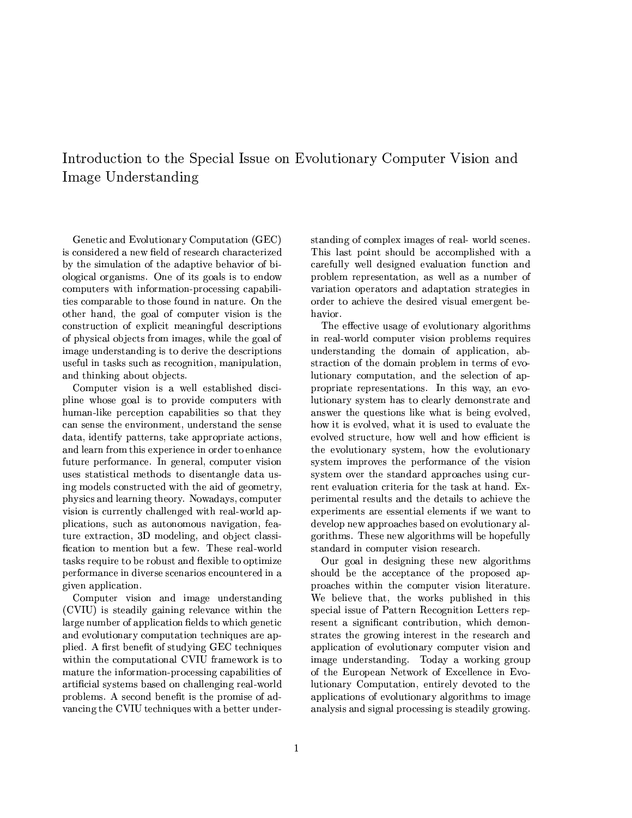# Introduction to the Special Issue on Evolutionary Computer Vision and Image Understanding

Genetic and Evolutionary Computation (GEC) is considered a new field of research characterized by the simulation of the adaptive behavior of biological organisms. One of its goals is to endow computers with information-processing capabilities comparable to those found in nature. On the other hand, the goal of computer vision is the construction of explicit meaningful descriptions of physical objects from images, while the goal of image understanding is to derive the descriptions useful in tasks such as recognition, manipulation, and thinking about objects.

Computer vision is a well established discipline whose goal is to provide computers with human-like perception capabilities so that they can sense the environment, understand the sense data, identify patterns, take appropriate actions, and learn from this experience in order to enhance future performance. In general, computer vision uses statistical methods to disentangle data using models constructed with the aid of geometry, physics and learning theory. Nowadays, computer vision is currently challenged with real-world applications, such as autonomous navigation, feature extraction, 3D modeling, and object classification to mention but a few. These real-world tasks require to be robust and flexible to optimize performance in diverse scenarios encountered in a given application.

Computer vision and image understanding (CVIU) is steadily gaining relevance within the large number of application fields to which genetic and evolutionary computation techniques are applied. A first benefit of studying GEC techniques within the computational CVIU framework is to mature the information-processing capabilities of artificial systems based on challenging real-world problems. A second benefit is the promise of advancing the CVIU techniques with a better under-

standing of complex images of real-world scenes. This last point should be accomplished with a carefully well designed evaluation function and problem representation, as well as a number of variation operators and adaptation strategies in order to achieve the desired visual emergent behavior.

The effective usage of evolutionary algorithms in real-world computer vision problems requires understanding the domain of application, abstraction of the domain problem in terms of evolutionary computation, and the selection of appropriate representations. In this way, an evolutionary system has to clearly demonstrate and answer the questions like what is being evolved, how it is evolved, what it is used to evaluate the evolved structure, how well and how efficient is the evolutionary system, how the evolutionary system improves the performance of the vision system over the standard approaches using current evaluation criteria for the task at hand. Experimental results and the details to achieve the experiments are essential elements if we want to develop new approaches based on evolutionary algorithms. These new algorithms will be hopefully standard in computer vision research.

Our goal in designing these new algorithms should be the acceptance of the proposed approaches within the computer vision literature. We believe that, the works published in this special issue of Pattern Recognition Letters represent a significant contribution, which demonstrates the growing interest in the research and application of evolutionary computer vision and image understanding. Today a working group of the European Network of Excellence in Evolutionary Computation, entirely devoted to the applications of evolutionary algorithms to image analysis and signal processing is steadily growing.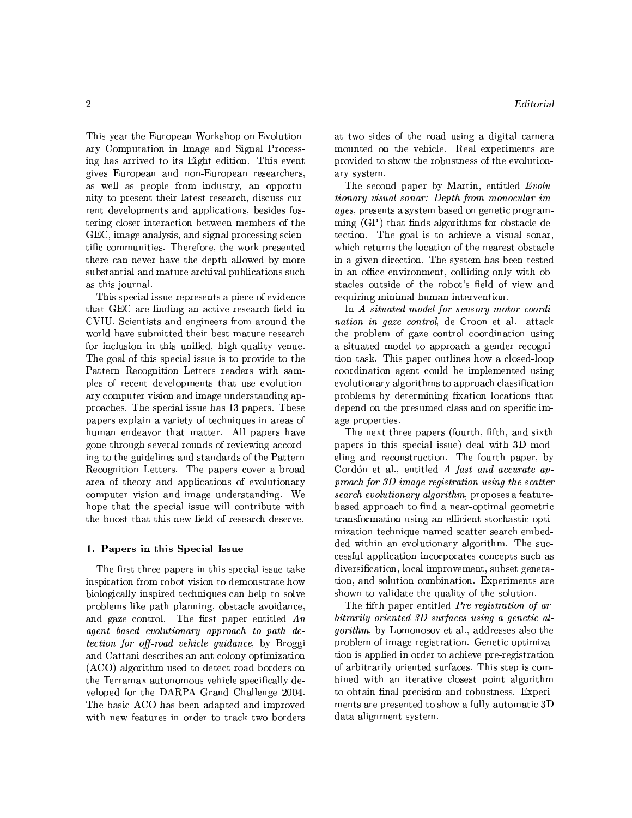This year the European Workshop on Evolutionary Computation in Image and Signal Processing has arrived to its Eight edition. This event gives European and non-European researchers, as well as people from industry, an opportunity to present their latest research, discuss current developments and applications, besides fostering closer interaction between members of the GEC, image analysis, and signal processing scientific communities. Therefore, the work presented there can never have the depth allowed by more substantial and mature archival publications such as this journal.

This special issue represents a piece of evidence that GEC are finding an active research field in CVIU. Scientists and engineers from around the world have submitted their best mature research for inclusion in this unified, high-quality venue. The goal of this special issue is to provide to the Pattern Recognition Letters readers with samples of recent developments that use evolutionary computer vision and image understanding approaches. The special issue has 13 papers. These papers explain a variety of techniques in areas of human endeavor that matter. All papers have gone through several rounds of reviewing according to the guidelines and standards of the Pattern Recognition Letters. The papers cover a broad area of theory and applications of evolutionary computer vision and image understanding. We hope that the special issue will contribute with the boost that this new field of research deserve.

#### 1. Papers in this Special Issue

The first three papers in this special issue take inspiration from robot vision to demonstrate how biologically inspired techniques can help to solve problems like path planning, obstacle avoidance, and gaze control. The first paper entitled  $An$ agent based evolutionary approach to path de*tection for off-road vehicle quidance*, by Broggi and Cattani describes an ant colony optimization (ACO) algorithm used to detect road-borders on the Terramax autonomous vehicle specifically developed for the DARPA Grand Challenge 2004. The basic ACO has been adapted and improved with new features in order to track two borders

at two sides of the road using a digital camera mounted on the vehicle. Real experiments are provided to show the robustness of the evolutionary system.

The second paper by Martin, entitled Evolutionary visual sonar: Depth from monocular im*ages*, presents a system based on genetic programming (GP) that finds algorithms for obstacle detection. The goal is to achieve a visual sonar. which returns the location of the nearest obstacle in a given direction. The system has been tested in an office environment, colliding only with obstacles outside of the robot's field of view and requiring minimal human intervention.

In A situated model for sensory-motor coordi*nation in gaze control*, de Croon et al. attack the problem of gaze control coordination using a situated model to approach a gender recognition task. This paper outlines how a closed-loop coordination agent could be implemented using evolutionary algorithms to approach classification problems by determining fixation locations that depend on the presumed class and on specific image properties.

The next three papers (fourth, fifth, and sixth papers in this special issue) deal with 3D modeling and reconstruction. The fourth paper, by Cordón et al., entitled A fast and accurate approach for 3D image registration using the scatter search evolutionary algorithm, proposes a featurebased approach to find a near-optimal geometric transformation using an efficient stochastic optimization technique named scatter search embedded within an evolutionary algorithm. The successful application incorporates concepts such as diversification, local improvement, subset generation, and solution combination. Experiments are shown to validate the quality of the solution.

The fifth paper entitled *Pre-registration of ar*bitrarily oriented 3D surfaces using a genetic al*gorithm*, by Lomonosov et al., addresses also the problem of image registration. Genetic optimization is applied in order to achieve pre-registration of arbitrarily oriented surfaces. This step is combined with an iterative closest point algorithm to obtain final precision and robustness. Experiments are presented to show a fully automatic 3D data alignment system.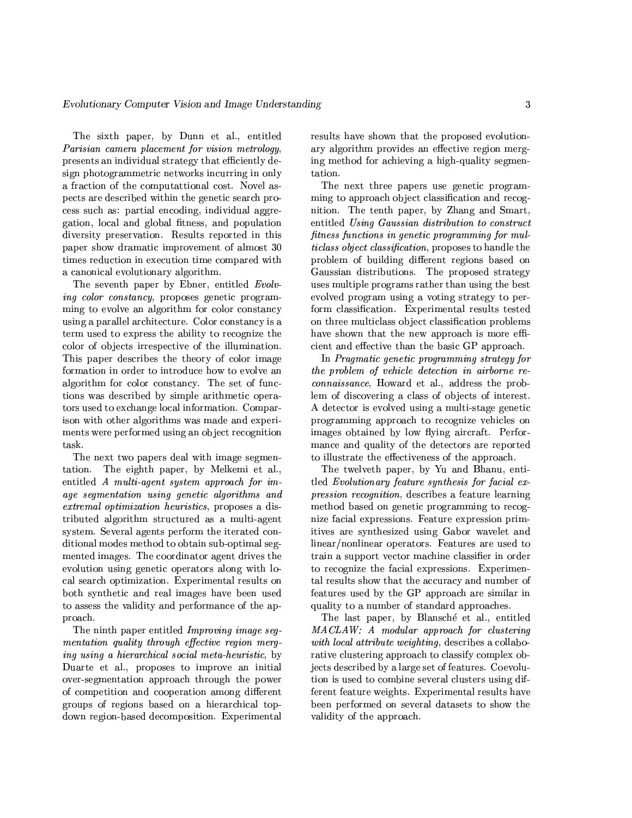The sixth paper, by Dunn et al., entitled Parisian camera placement for vision metrology, presents an individual strategy that efficiently design photogrammetric networks incurring in only a fraction of the computattional cost. Novel aspects are described within the genetic search process such as: partial encoding, individual aggregation, local and global fitness, and population diversity preservation. Results reported in this paper show dramatic improvement of almost 30 times reduction in execution time compared with a canonical evolutionary algorithm.

The seventh paper by Ebner, entitled Evolv*ing color constancy*, proposes genetic programming to evolve an algorithm for color constancy using a parallel architecture. Color constancy is a term used to express the ability to recognize the color of objects irrespective of the illumination. This paper describes the theory of color image formation in order to introduce how to evolve an algorithm for color constancy. The set of functions was described by simple arithmetic operators used to exchange local information. Comparison with other algorithms was made and experiments were performed using an object recognition task.

The next two papers deal with image segmentation. The eighth paper, by Melkemi et al., entitled  $A$  multi-agent system approach for image segmentation using genetic algorithms and *extremal optimization heuristics*, proposes a distributed algorithm structured as a multi-agent system. Several agents perform the iterated conditional modes method to obtain sub-optimal segmented images. The coordinator agent drives the evolution using genetic operators along with local search optimization. Experimental results on both synthetic and real images have been used to assess the validity and performance of the approach.

The ninth paper entitled Improving image segmentation quality through effective region merging using a hierarchical social meta-heuristic, by Duarte et al., proposes to improve an initial over-segmentation approach through the power of competition and cooperation among different groups of regions based on a hierarchical topdown region-based decomposition. Experimental

results have shown that the proposed evolutionary algorithm provides an effective region merging method for achieving a high-quality segmentation.

The next three papers use genetic programming to approach object classification and recognition. The tenth paper, by Zhang and Smart, entitled Using Gaussian distribution to construct fitness functions in genetic programming for mul*ticlass object classification*, proposes to handle the problem of building different regions based on Gaussian distributions. The proposed strategy uses multiple programs rather than using the best evolved program using a voting strategy to perform classification. Experimental results tested on three multiclass object classification problems have shown that the new approach is more efficient and effective than the basic GP approach.

In Pragmatic genetic programming strategy for the problem of vehicle detection in airborne re*connaissance*, Howard et al., address the problem of discovering a class of objects of interest. A detector is evolved using a multi-stage genetic programming approach to recognize vehicles on images obtained by low flying aircraft. Performance and quality of the detectors are reported to illustrate the effectiveness of the approach.

The twelveth paper, by Yu and Bhanu, entitled Evolutionary feature synthesis for facial expression recognition, describes a feature learning method based on genetic programming to recognize facial expressions. Feature expression primitives are synthesized using Gabor wavelet and linear/nonlinear operators. Features are used to train a support vector machine classifier in order to recognize the facial expressions. Experimental results show that the accuracy and number of features used by the GP approach are similar in quality to a number of standard approaches.

The last paper, by Blansché et al., entitled MACLAW: A modular approach for clustering with local attribute weighting, describes a collaborative clustering approach to classify complex objects described by a large set of features. Coevolution is used to combine several clusters using different feature weights. Experimental results have been performed on several datasets to show the validity of the approach.